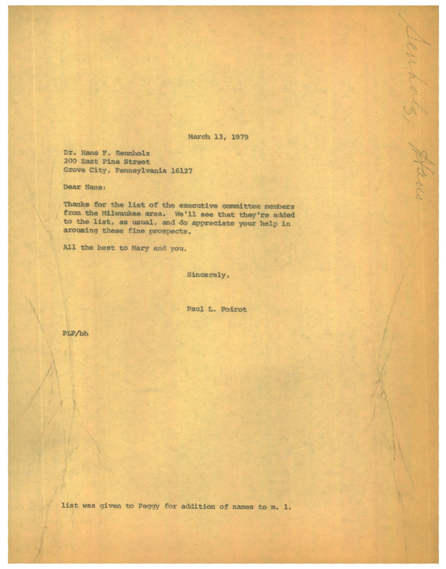March 13, 1979

Senhols, Hans

Dr. Hans F. Sennholz 200 East Pine Street Grove City, Pennsylvania 16127

Dear Hans:

Thanks for the list of the executive committee members from the Milwaukee area. We'll see that they're added to the list, as usual, and do appreciate your help in arousing these fine prospects.

All the best to Mary and you.

Sincerely,

Paul L. Poirot

PLP/bh

list was given to Peggy for addition of names to m. 1.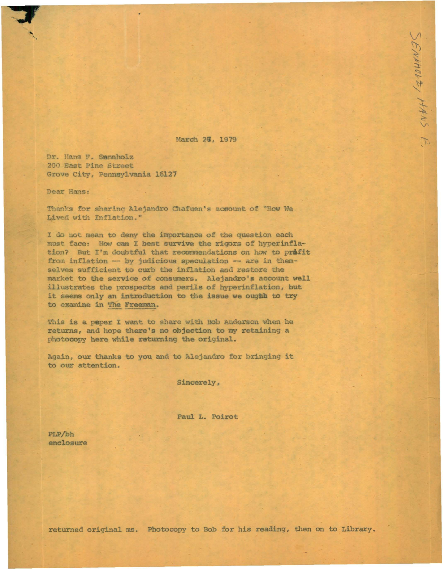March 2%, 1979

SPINHOLZ, HANS F.

Dr. Hans F. Sannholz 200 East Pine Street Grove City, Pennsylvania 16127

Dear Hans:

Thanks for sharing Alejandro Chafuen's account of "How We Lived with Inflation."

I do not mean to deny the importance of the question each must face: How can I best survive the rigors of hyperinflation? But I'm doubtful that recommendations on how to prafit from inflation -- by judicious speculation -- are in themselves sufficient to curb the inflation and restore the market to the service of consumers. Alejandro's account well illustrates the prospects and perils of hyperinflation, but it seems only an introduction to the issue we oughh to try to examine in The Freeman.

This is a paper I want to share with Bob Anderson when he returns, and hope there's no objection to my retaining a photocopy here while returning the original.

Again, our thanks to you and to Alejandro for bringing it to our attention.

Sincerely,

Paul L. Poirot

PLP/bh enclosure